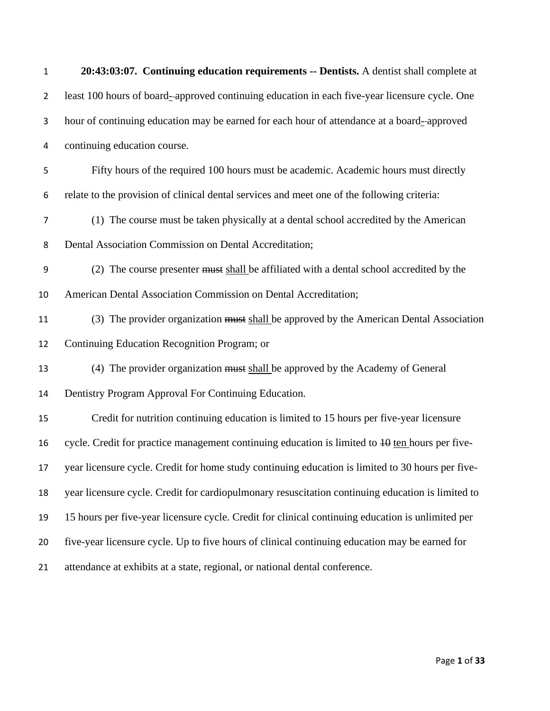| $\mathbf{1}$   | 20:43:03:07. Continuing education requirements -- Dentists. A dentist shall complete at           |
|----------------|---------------------------------------------------------------------------------------------------|
| $\overline{2}$ | least 100 hours of board--approved continuing education in each five-year licensure cycle. One    |
| 3              | hour of continuing education may be earned for each hour of attendance at a board--approved       |
| 4              | continuing education course.                                                                      |
| 5              | Fifty hours of the required 100 hours must be academic. Academic hours must directly              |
| 6              | relate to the provision of clinical dental services and meet one of the following criteria:       |
| $\overline{7}$ | (1) The course must be taken physically at a dental school accredited by the American             |
| 8              | Dental Association Commission on Dental Accreditation;                                            |
| 9              | (2) The course presenter must shall be affiliated with a dental school accredited by the          |
| 10             | American Dental Association Commission on Dental Accreditation;                                   |
| 11             | (3) The provider organization must shall be approved by the American Dental Association           |
| 12             | Continuing Education Recognition Program; or                                                      |
| 13             | (4) The provider organization must shall be approved by the Academy of General                    |
| 14             | Dentistry Program Approval For Continuing Education.                                              |
| 15             | Credit for nutrition continuing education is limited to 15 hours per five-year licensure          |
| 16             | cycle. Credit for practice management continuing education is limited to $10$ ten hours per five- |
| 17             | year licensure cycle. Credit for home study continuing education is limited to 30 hours per five- |
| 18             | year licensure cycle. Credit for cardiopulmonary resuscitation continuing education is limited to |
| 19             | 15 hours per five-year licensure cycle. Credit for clinical continuing education is unlimited per |
| 20             | five-year licensure cycle. Up to five hours of clinical continuing education may be earned for    |
| 21             | attendance at exhibits at a state, regional, or national dental conference.                       |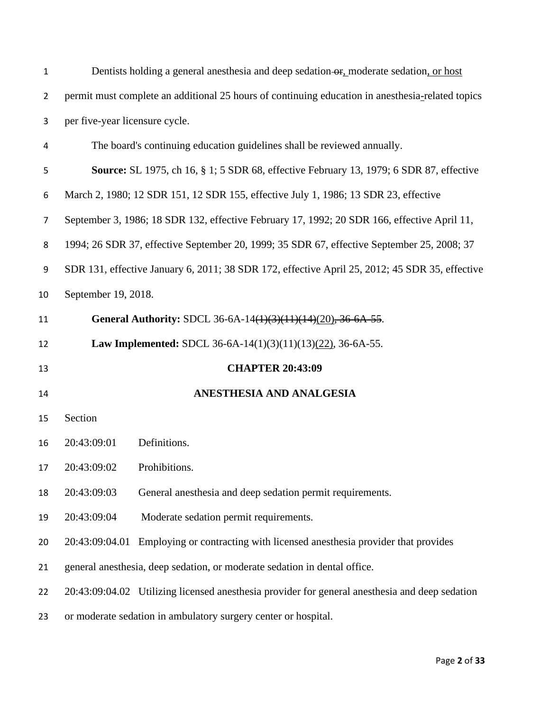| $\mathbf{1}$   |                                | Dentists holding a general anesthesia and deep sedation or, moderate sedation, or host           |
|----------------|--------------------------------|--------------------------------------------------------------------------------------------------|
| $\overline{2}$ |                                | permit must complete an additional 25 hours of continuing education in anesthesia-related topics |
| 3              | per five-year licensure cycle. |                                                                                                  |
| 4              |                                | The board's continuing education guidelines shall be reviewed annually.                          |
| 5              |                                | <b>Source:</b> SL 1975, ch 16, § 1; 5 SDR 68, effective February 13, 1979; 6 SDR 87, effective   |
| 6              |                                | March 2, 1980; 12 SDR 151, 12 SDR 155, effective July 1, 1986; 13 SDR 23, effective              |
| 7              |                                | September 3, 1986; 18 SDR 132, effective February 17, 1992; 20 SDR 166, effective April 11,      |
| 8              |                                | 1994; 26 SDR 37, effective September 20, 1999; 35 SDR 67, effective September 25, 2008; 37       |
| 9              |                                | SDR 131, effective January 6, 2011; 38 SDR 172, effective April 25, 2012; 45 SDR 35, effective   |
| 10             | September 19, 2018.            |                                                                                                  |
| 11             |                                | General Authority: SDCL 36-6A-14(1)(3)(11)(14)(20), 36-6A-55.                                    |
| 12             |                                | Law Implemented: SDCL 36-6A-14(1)(3)(11)(13)(22), 36-6A-55.                                      |
| 13             |                                | <b>CHAPTER 20:43:09</b>                                                                          |
| 14             | ANESTHESIA AND ANALGESIA       |                                                                                                  |
| 15             | Section                        |                                                                                                  |
| 16             | 20:43:09:01                    | Definitions.                                                                                     |
| 17             | 20:43:09:02                    | Prohibitions.                                                                                    |
| 18             | 20:43:09:03                    | General anesthesia and deep sedation permit requirements.                                        |
| 19             | 20:43:09:04                    | Moderate sedation permit requirements.                                                           |
| 20             | 20:43:09:04.01                 | Employing or contracting with licensed anesthesia provider that provides                         |
| 21             |                                | general anesthesia, deep sedation, or moderate sedation in dental office.                        |
| 22             |                                | 20:43:09:04.02 Utilizing licensed anesthesia provider for general anesthesia and deep sedation   |
| 23             |                                | or moderate sedation in ambulatory surgery center or hospital.                                   |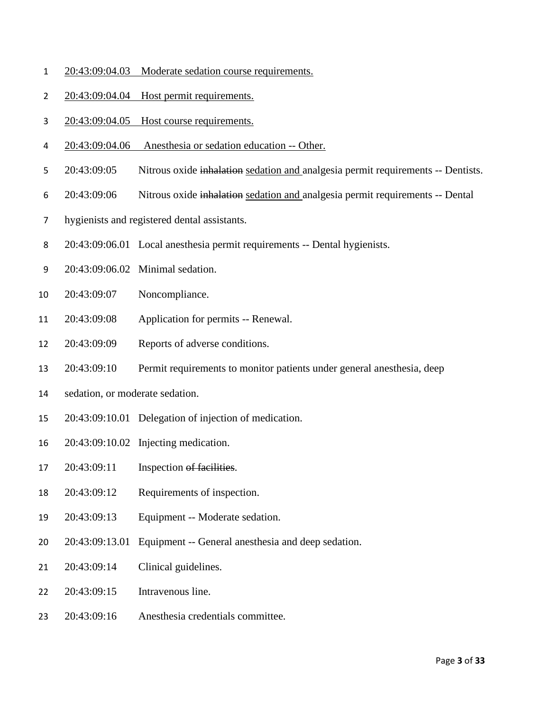- 20:43:09:04.03 Moderate sedation course requirements.
- 20:43:09:04.04 Host permit requirements.
- 20:43:09:04.05 Host course requirements.
- 20:43:09:04.06 Anesthesia or sedation education -- Other.
- [20:43:09:05](http://sdlegislature.gov/Rules/DisplayRule.aspx?Rule=20:43:09:05) Nitrous oxide inhalation sedation and analgesia permit requirements -- Dentists.
- [20:43:09:06](http://sdlegislature.gov/Rules/DisplayRule.aspx?Rule=20:43:09:06) Nitrous oxide inhalation sedation and analgesia permit requirements -- Dental
- hygienists and registered dental assistants.
- [20:43:09:06.01](http://sdlegislature.gov/Rules/DisplayRule.aspx?Rule=20:43:09:06.01) Local anesthesia permit requirements -- Dental hygienists.
- [20:43:09:06.02](http://sdlegislature.gov/Rules/DisplayRule.aspx?Rule=20:43:09:06.02) Minimal sedation.
- [20:43:09:07](http://sdlegislature.gov/Rules/DisplayRule.aspx?Rule=20:43:09:07) Noncompliance.
- [20:43:09:08](http://sdlegislature.gov/Rules/DisplayRule.aspx?Rule=20:43:09:08) Application for permits -- Renewal.
- [20:43:09:09](http://sdlegislature.gov/Rules/DisplayRule.aspx?Rule=20:43:09:09) Reports of adverse conditions.
- [20:43:09:10](http://sdlegislature.gov/Rules/DisplayRule.aspx?Rule=20:43:09:10) Permit requirements to monitor patients under general anesthesia, deep
- sedation, or moderate sedation.
- [20:43:09:10.01](http://sdlegislature.gov/Rules/DisplayRule.aspx?Rule=20:43:09:10.01) Delegation of injection of medication.
- [20:43:09:10.02](http://sdlegislature.gov/Rules/DisplayRule.aspx?Rule=20:43:09:10.02) Injecting medication.
- [20:43:09:11](http://sdlegislature.gov/Rules/DisplayRule.aspx?Rule=20:43:09:11) Inspection of facilities.
- [20:43:09:12](http://sdlegislature.gov/Rules/DisplayRule.aspx?Rule=20:43:09:12) Requirements of inspection.
- [20:43:09:13](http://sdlegislature.gov/Rules/DisplayRule.aspx?Rule=20:43:09:13) Equipment -- Moderate sedation.
- [20:43:09:13.01](http://sdlegislature.gov/Rules/DisplayRule.aspx?Rule=20:43:09:13.01) Equipment -- General anesthesia and deep sedation.
- [20:43:09:14](http://sdlegislature.gov/Rules/DisplayRule.aspx?Rule=20:43:09:14) Clinical guidelines.
- [20:43:09:15](http://sdlegislature.gov/Rules/DisplayRule.aspx?Rule=20:43:09:15) Intravenous line.
- [20:43:09:16](http://sdlegislature.gov/Rules/DisplayRule.aspx?Rule=20:43:09:16) Anesthesia credentials committee.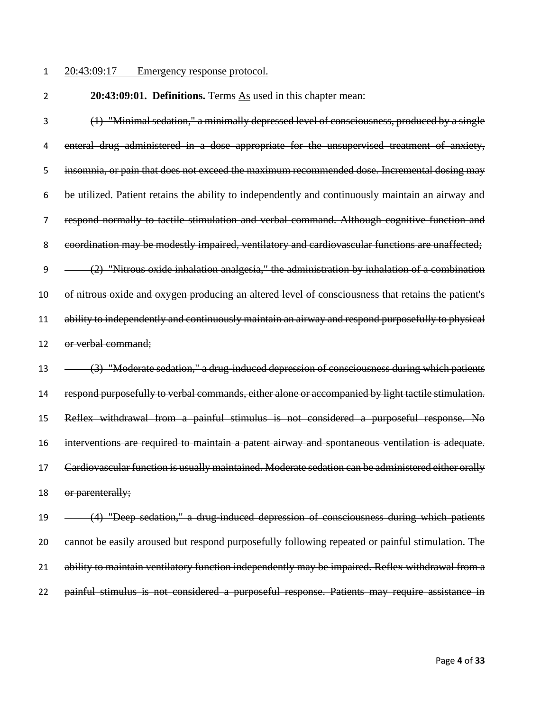## 20:43:09:17 Emergency response protocol.

**20:43:09:01. Definitions.** The Terms As used in this chapter mean:

 (1) "Minimal sedation," a minimally depressed level of consciousness, produced by a single 4 enteral drug administered in a dose appropriate for the unsupervised treatment of anxiety, insomnia, or pain that does not exceed the maximum recommended dose. Incremental dosing may be utilized. Patient retains the ability to independently and continuously maintain an airway and respond normally to tactile stimulation and verbal command. Although cognitive function and coordination may be modestly impaired, ventilatory and cardiovascular functions are unaffected;  $(2)$  "Nitrous oxide inhalation analgesia," the administration by inhalation of a combination of nitrous oxide and oxygen producing an altered level of consciousness that retains the patient's 11 ability to independently and continuously maintain an airway and respond purposefully to physical or verbal command;

13 (3) "Moderate sedation," a drug-induced depression of consciousness during which patients respond purposefully to verbal commands, either alone or accompanied by light tactile stimulation. Reflex withdrawal from a painful stimulus is not considered a purposeful response. No interventions are required to maintain a patent airway and spontaneous ventilation is adequate. Cardiovascular function is usually maintained. Moderate sedation can be administered either orally 18 or parenterally;

19 (4) "Deep sedation," a drug-induced depression of consciousness during which patients cannot be easily aroused but respond purposefully following repeated or painful stimulation. The ability to maintain ventilatory function independently may be impaired. Reflex withdrawal from a painful stimulus is not considered a purposeful response. Patients may require assistance in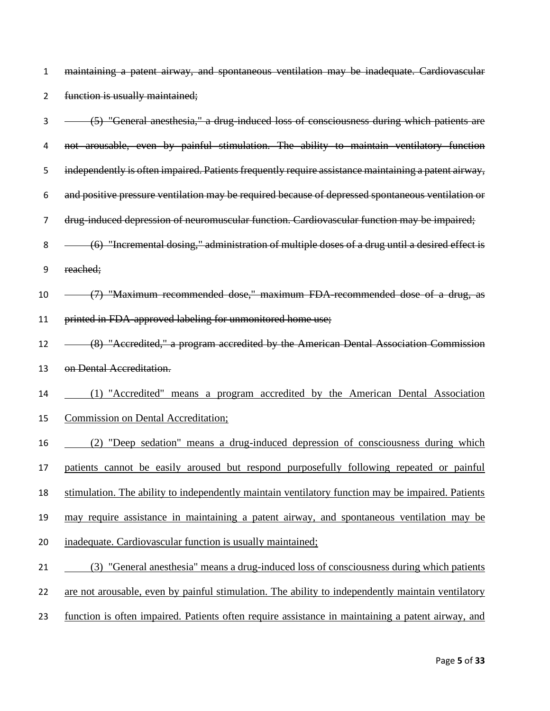maintaining a patent airway, and spontaneous ventilation may be inadequate. Cardiovascular 2 function is usually maintained;

 (5) "General anesthesia," a drug-induced loss of consciousness during which patients are not arousable, even by painful stimulation. The ability to maintain ventilatory function independently is often impaired. Patients frequently require assistance maintaining a patent airway, and positive pressure ventilation may be required because of depressed spontaneous ventilation or drug-induced depression of neuromuscular function. Cardiovascular function may be impaired; 8 (6) "Incremental dosing," administration of multiple doses of a drug until a desired effect is reached; (7) "Maximum recommended dose," maximum FDA-recommended dose of a drug, as printed in FDA-approved labeling for unmonitored home use; 12 (8) "Accredited," a program accredited by the American Dental Association Commission on Dental Accreditation. (1) "Accredited" means a program accredited by the American Dental Association Commission on Dental Accreditation; (2) "Deep sedation" means a drug-induced depression of consciousness during which patients cannot be easily aroused but respond purposefully following repeated or painful stimulation. The ability to independently maintain ventilatory function may be impaired. Patients may require assistance in maintaining a patent airway, and spontaneous ventilation may be inadequate. Cardiovascular function is usually maintained; (3) "General anesthesia" means a drug-induced loss of consciousness during which patients 22 are not arousable, even by painful stimulation. The ability to independently maintain ventilatory function is often impaired. Patients often require assistance in maintaining a patent airway, and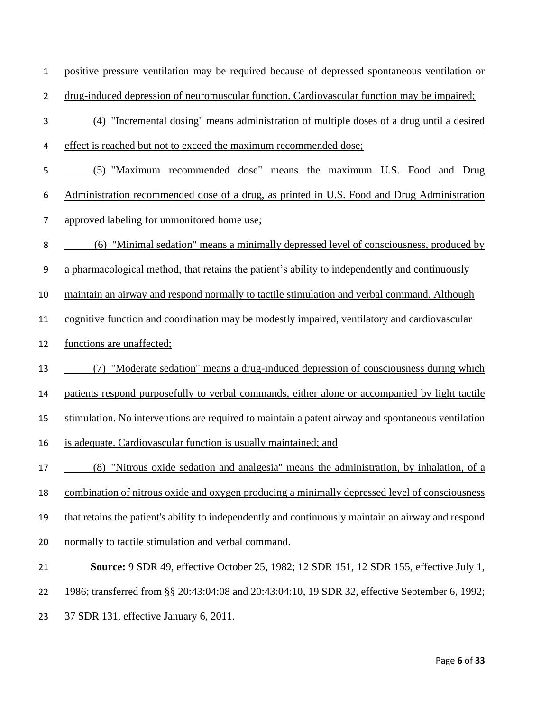- positive pressure ventilation may be required because of depressed spontaneous ventilation or
- drug-induced depression of neuromuscular function. Cardiovascular function may be impaired;
- (4) "Incremental dosing" means administration of multiple doses of a drug until a desired
- effect is reached but not to exceed the maximum recommended dose;
- (5) "Maximum recommended dose" means the maximum U.S. Food and Drug
- Administration recommended dose of a drug, as printed in U.S. Food and Drug Administration
- approved labeling for unmonitored home use;
- (6) "Minimal sedation" means a minimally depressed level of consciousness, produced by
- a pharmacological method, that retains the patient's ability to independently and continuously
- maintain an airway and respond normally to tactile stimulation and verbal command. Although
- cognitive function and coordination may be modestly impaired, ventilatory and cardiovascular
- functions are unaffected;
- (7) "Moderate sedation" means a drug-induced depression of consciousness during which
- patients respond purposefully to verbal commands, either alone or accompanied by light tactile
- stimulation. No interventions are required to maintain a patent airway and spontaneous ventilation
- is adequate. Cardiovascular function is usually maintained; and
- (8) "Nitrous oxide sedation and analgesia" means the administration, by inhalation, of a
- combination of nitrous oxide and oxygen producing a minimally depressed level of consciousness
- that retains the patient's ability to independently and continuously maintain an airway and respond
- normally to tactile stimulation and verbal command.

- 1986; transferred from §§ 20:43:04:08 and 20:43:04:10, 19 SDR 32, effective September 6, 1992;
- 37 SDR 131, effective January 6, 2011.

**Source:** 9 SDR 49, effective October 25, 1982; 12 SDR 151, 12 SDR 155, effective July 1,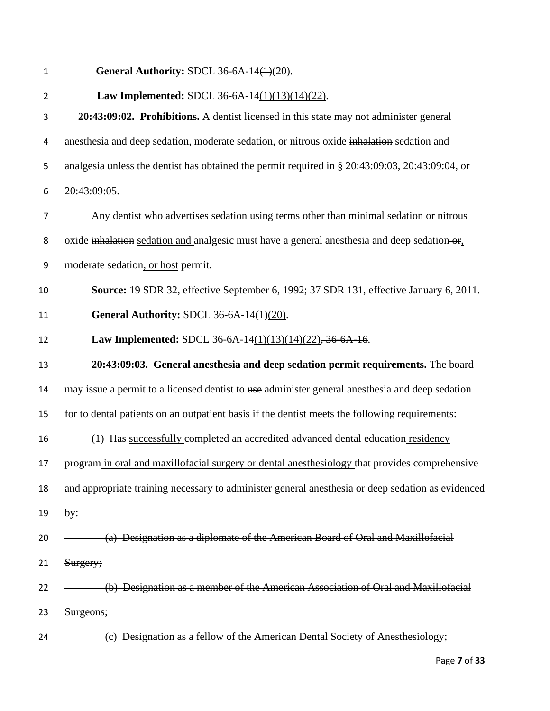| $\mathbf{1}$   | General Authority: SDCL 36-6A-14 $(4)(20)$ .                                                      |
|----------------|---------------------------------------------------------------------------------------------------|
| $\overline{2}$ | <b>Law Implemented: SDCL 36-6A-14(1)(13)(14)(22).</b>                                             |
| 3              | 20:43:09:02. Prohibitions. A dentist licensed in this state may not administer general            |
| 4              | anesthesia and deep sedation, moderate sedation, or nitrous oxide inhalation sedation and         |
| 5              | analgesia unless the dentist has obtained the permit required in § 20:43:09:03, 20:43:09:04, or   |
| 6              | 20:43:09:05.                                                                                      |
| $\overline{7}$ | Any dentist who advertises sedation using terms other than minimal sedation or nitrous            |
| 8              | oxide inhalation sedation and analgesic must have a general anesthesia and deep sedation-or,      |
| 9              | moderate sedation, or host permit.                                                                |
| 10             | Source: 19 SDR 32, effective September 6, 1992; 37 SDR 131, effective January 6, 2011.            |
| 11             | General Authority: SDCL 36-6A-14 $(1)(20)$ .                                                      |
| 12             | Law Implemented: SDCL 36-6A-14(1)(13)(14)(22), 36-6A-16.                                          |
| 13             | 20:43:09:03. General anesthesia and deep sedation permit requirements. The board                  |
| 14             | may issue a permit to a licensed dentist to use administer general anesthesia and deep sedation   |
| 15             | for to dental patients on an outpatient basis if the dentist meets the following requirements:    |
| 16             | (1) Has successfully completed an accredited advanced dental education residency                  |
| 17             | program in oral and maxillofacial surgery or dental anesthesiology that provides comprehensive    |
| 18             | and appropriate training necessary to administer general anesthesia or deep sedation as evidenced |
| 19             | by:                                                                                               |
| 20             | (a) Designation as a diplomate of the American Board of Oral and Maxillofacial                    |
| 21             | Surgery;                                                                                          |
| 22             | (b) Designation as a member of the American Association of Oral and Maxillofacial                 |
|                |                                                                                                   |
| 23             | Surgeons;                                                                                         |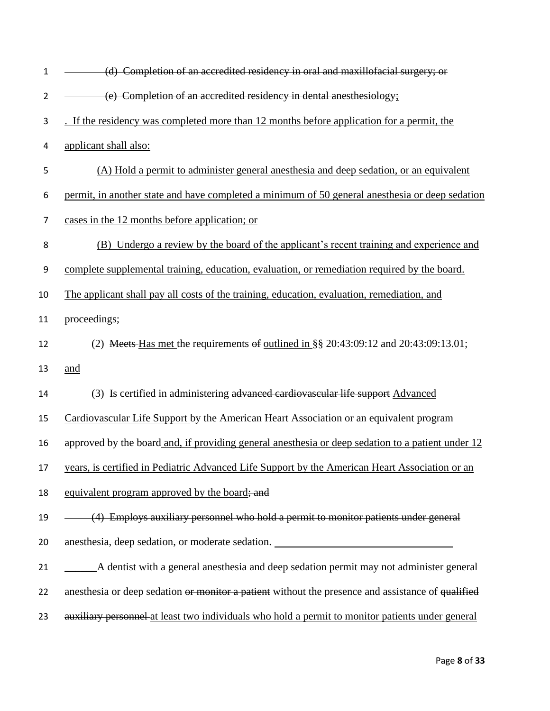| $\mathbf{1}$   | (d) Completion of an accredited residency in oral and maxillofacial surgery; or                   |
|----------------|---------------------------------------------------------------------------------------------------|
| $\overline{2}$ | (e) Completion of an accredited residency in dental anesthesiology;                               |
| 3              | . If the residency was completed more than 12 months before application for a permit, the         |
| 4              | applicant shall also:                                                                             |
| 5              | (A) Hold a permit to administer general anesthesia and deep sedation, or an equivalent            |
| 6              | permit, in another state and have completed a minimum of 50 general anesthesia or deep sedation   |
| $\overline{7}$ | cases in the 12 months before application; or                                                     |
| 8              | (B) Undergo a review by the board of the applicant's recent training and experience and           |
| 9              | complete supplemental training, education, evaluation, or remediation required by the board.      |
| 10             | The applicant shall pay all costs of the training, education, evaluation, remediation, and        |
| 11             | proceedings;                                                                                      |
| 12             | (2) Meets-Has met the requirements of outlined in $\S$ § 20:43:09:12 and 20:43:09:13.01;          |
| 13             | and                                                                                               |
| 14             | (3) Is certified in administering advanced cardiovascular life support Advanced                   |
| 15             | Cardiovascular Life Support by the American Heart Association or an equivalent program            |
| 16             | approved by the board and, if providing general anesthesia or deep sedation to a patient under 12 |
| 17             | years, is certified in Pediatric Advanced Life Support by the American Heart Association or an    |
| 18             | equivalent program approved by the board; and                                                     |
| 19             | (4) Employs auxiliary personnel who hold a permit to monitor patients under general               |
| 20             | anesthesia, deep sedation, or moderate sedation. ________________________________                 |
| 21             | A dentist with a general anesthesia and deep sedation permit may not administer general           |
| 22             | anesthesia or deep sedation or monitor a patient without the presence and assistance of qualified |
| 23             | auxiliary personnel at least two individuals who hold a permit to monitor patients under general  |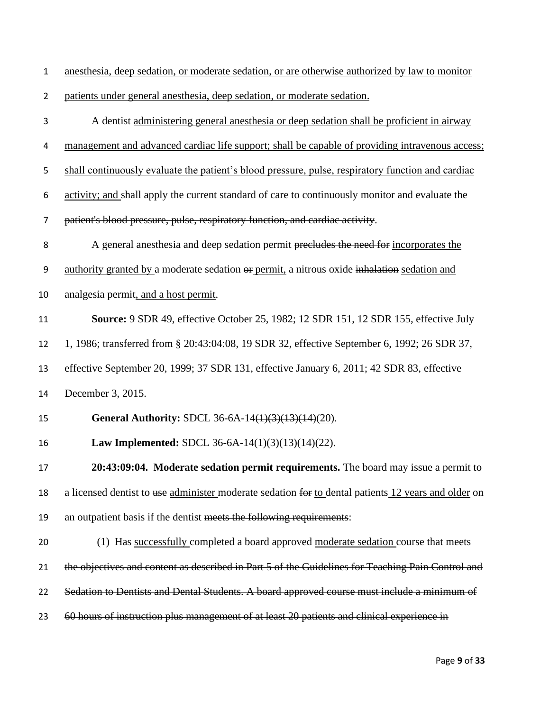anesthesia, deep sedation, or moderate sedation, or are otherwise authorized by law to monitor

patients under general anesthesia, deep sedation, or moderate sedation.

 A dentist administering general anesthesia or deep sedation shall be proficient in airway management and advanced cardiac life support; shall be capable of providing intravenous access; shall continuously evaluate the patient's blood pressure, pulse, respiratory function and cardiac activity; and shall apply the current standard of care to continuously monitor and evaluate the patient's blood pressure, pulse, respiratory function, and cardiac activity. 8 A general anesthesia and deep sedation permit precludes the need for incorporates the 9 authority granted by a moderate sedation or permit, a nitrous oxide inhalation sedation and analgesia permit, and a host permit. **Source:** 9 SDR 49, effective October 25, 1982; 12 SDR 151, 12 SDR 155, effective July 1, 1986; transferred from § 20:43:04:08, 19 SDR 32, effective September 6, 1992; 26 SDR 37, effective September 20, 1999; 37 SDR 131, effective January 6, 2011; 42 SDR 83, effective December 3, 2015. **General Authority:** SDCL [36-6A-14\(1\)\(3\)\(13\)\(14\)\(20\).](http://sdlegislature.gov/statutes/DisplayStatute.aspx?Type=Statute&Statute=36-6A-14) **Law Implemented:** SDCL [36-6A-14\(1\)\(3\)\(13\)\(14\)\(22\).](http://sdlegislature.gov/statutes/DisplayStatute.aspx?Type=Statute&Statute=36-6A-14) **20:43:09:04. Moderate sedation permit requirements.** The board may issue a permit to 18 a licensed dentist to use administer moderate sedation for to dental patients 12 years and older on an outpatient basis if the dentist meets the following requirements: 20 (1) Has successfully completed a board approved moderate sedation course that meets 21 the objectives and content as described in Part 5 of the Guidelines for Teaching Pain Control and 22 Sedation to Dentists and Dental Students. A board approved course must include a minimum of 23 60 hours of instruction plus management of at least 20 patients and clinical experience in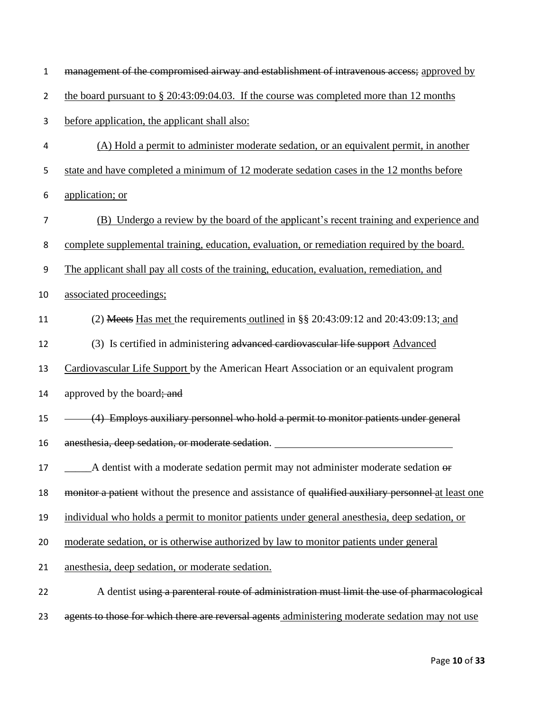| $\mathbf 1$      | management of the compromised airway and establishment of intravenous access; approved by           |
|------------------|-----------------------------------------------------------------------------------------------------|
| $\overline{2}$   | the board pursuant to $\S 20:43:09:04.03$ . If the course was completed more than 12 months         |
| 3                | before application, the applicant shall also:                                                       |
| 4                | (A) Hold a permit to administer moderate sedation, or an equivalent permit, in another              |
| 5                | state and have completed a minimum of 12 moderate sedation cases in the 12 months before            |
| 6                | application; or                                                                                     |
| $\boldsymbol{7}$ | (B) Undergo a review by the board of the applicant's recent training and experience and             |
| 8                | complete supplemental training, education, evaluation, or remediation required by the board.        |
| 9                | The applicant shall pay all costs of the training, education, evaluation, remediation, and          |
| 10               | associated proceedings;                                                                             |
| 11               | (2) Meets Has met the requirements outlined in $\S$ 20:43:09:12 and 20:43:09:13; and                |
| 12               | (3) Is certified in administering advanced cardiovascular life support Advanced                     |
| 13               | Cardiovascular Life Support by the American Heart Association or an equivalent program              |
| 14               | approved by the board; and                                                                          |
| 15               | (4) Employs auxiliary personnel who hold a permit to monitor patients under general                 |
| 16               | anesthesia, deep sedation, or moderate sedation.                                                    |
| 17               | $\Delta$ dentist with a moderate sedation permit may not administer moderate sedation $\theta$      |
| 18               | monitor a patient without the presence and assistance of qualified auxiliary personnel at least one |
| 19               | individual who holds a permit to monitor patients under general anesthesia, deep sedation, or       |
| 20               | moderate sedation, or is otherwise authorized by law to monitor patients under general              |
| 21               | anesthesia, deep sedation, or moderate sedation.                                                    |
| 22               | A dentist using a parenteral route of administration must limit the use of pharmacological          |
| 23               | agents to those for which there are reversal agents administering moderate sedation may not use     |
|                  |                                                                                                     |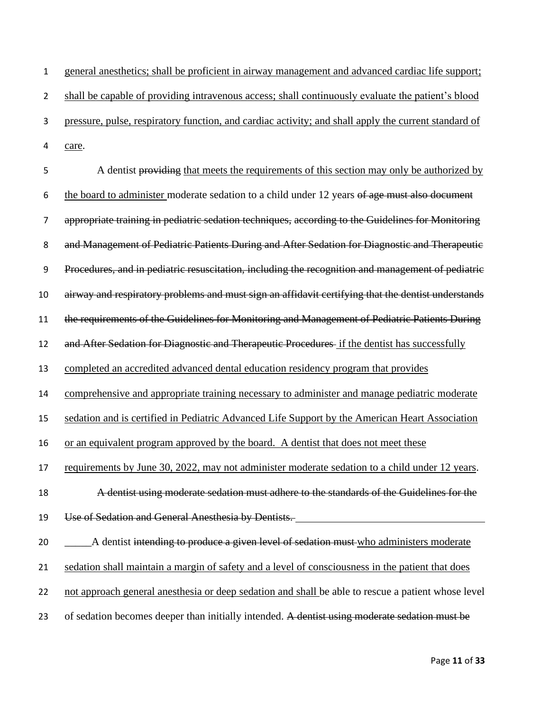general anesthetics; shall be proficient in airway management and advanced cardiac life support; shall be capable of providing intravenous access; shall continuously evaluate the patient's blood pressure, pulse, respiratory function, and cardiac activity; and shall apply the current standard of care.

5 A dentist providing that meets the requirements of this section may only be authorized by 6 the board to administer moderate sedation to a child under 12 years of age must also document appropriate training in pediatric sedation techniques, according to the Guidelines for Monitoring and Management of Pediatric Patients During and After Sedation for Diagnostic and Therapeutic Procedures, and in pediatric resuscitation, including the recognition and management of pediatric airway and respiratory problems and must sign an affidavit certifying that the dentist understands the requirements of the Guidelines for Monitoring and Management of Pediatric Patients During 12 and After Sedation for Diagnostic and Therapeutic Procedures if the dentist has successfully completed an accredited advanced dental education residency program that provides comprehensive and appropriate training necessary to administer and manage pediatric moderate sedation and is certified in Pediatric Advanced Life Support by the American Heart Association or an equivalent program approved by the board. A dentist that does not meet these 17 requirements by June 30, 2022, may not administer moderate sedation to a child under 12 years. A dentist using moderate sedation must adhere to the standards of the Guidelines for the Use of Sedation and General Anesthesia by Dentists. 20 \_\_\_\_\_\_\_\_\_\_\_\_\_A dentist intending to produce a given level of sedation must who administers moderate sedation shall maintain a margin of safety and a level of consciousness in the patient that does 22 not approach general anesthesia or deep sedation and shall be able to rescue a patient whose level 23 of sedation becomes deeper than initially intended. A dentist using moderate sedation must be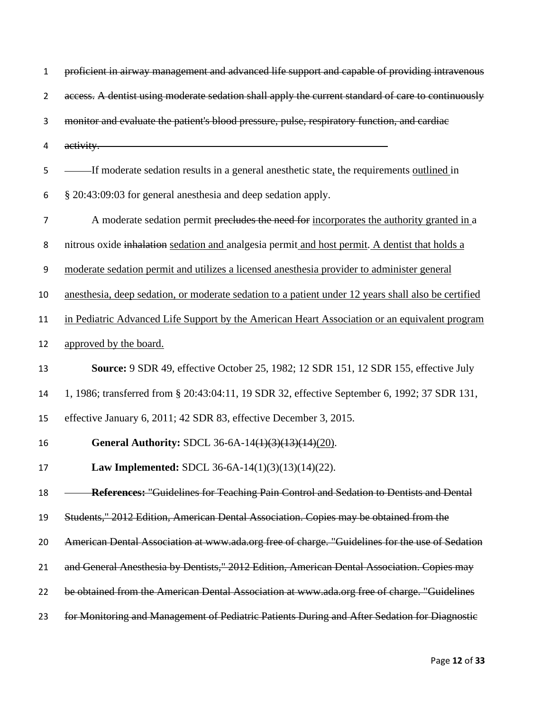| $\mathbf{1}$   | proficient in airway management and advanced life support and capable of providing intravenous                                      |
|----------------|-------------------------------------------------------------------------------------------------------------------------------------|
| $\overline{2}$ | access. A dentist using moderate sedation shall apply the current standard of care to continuously                                  |
| 3              | monitor and evaluate the patient's blood pressure, pulse, respiratory function, and cardiae                                         |
| 4              | <u> 1989 - Johann Stoff, deutscher Stoffen und der Stoffen und der Stoffen und der Stoffen und der Stoffen und der</u><br>activity. |
| 5              | If moderate sedation results in a general anesthetic state, the requirements outlined in                                            |
| 6              | § 20:43:09:03 for general anesthesia and deep sedation apply.                                                                       |
| $\overline{7}$ | A moderate sedation permit precludes the need for incorporates the authority granted in a                                           |
| 8              | nitrous oxide inhalation sedation and analgesia permit and host permit. A dentist that holds a                                      |
| 9              | moderate sedation permit and utilizes a licensed anesthesia provider to administer general                                          |
| 10             | anesthesia, deep sedation, or moderate sedation to a patient under 12 years shall also be certified                                 |
| 11             | in Pediatric Advanced Life Support by the American Heart Association or an equivalent program                                       |
| 12             | approved by the board.                                                                                                              |
| 13             | <b>Source:</b> 9 SDR 49, effective October 25, 1982; 12 SDR 151, 12 SDR 155, effective July                                         |
| 14             | 1, 1986; transferred from § 20:43:04:11, 19 SDR 32, effective September 6, 1992; 37 SDR 131,                                        |
| 15             | effective January 6, 2011; 42 SDR 83, effective December 3, 2015.                                                                   |
| 16             | General Authority: SDCL 36-6A-14(1)(3)(13)(14)(20).                                                                                 |
| 17             | Law Implemented: SDCL 36-6A-14(1)(3)(13)(14)(22).                                                                                   |
| 18             | References: "Guidelines for Teaching Pain Control and Sedation to Dentists and Dental                                               |
| 19             | Students," 2012 Edition, American Dental Association. Copies may be obtained from the                                               |
| 20             | American Dental Association at www.ada.org free of charge. "Guidelines for the use of Sedation                                      |
| 21             | and General Anesthesia by Dentists," 2012 Edition, American Dental Association. Copies may                                          |
| 22             | be obtained from the American Dental Association at www.ada.org free of charge. "Guidelines                                         |
| 23             | for Monitoring and Management of Pediatric Patients During and After Sedation for Diagnostic                                        |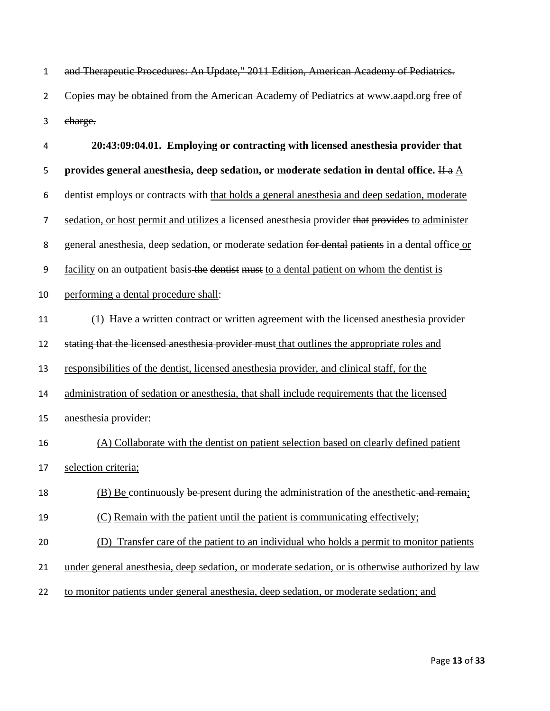| $\mathbf 1$    | and Therapeutic Procedures: An Update," 2011 Edition, American Academy of Pediatrics.                   |
|----------------|---------------------------------------------------------------------------------------------------------|
| $\overline{2}$ | Copies may be obtained from the American Academy of Pediatrics at www.aapd.org free of                  |
| 3              | charge.                                                                                                 |
| 4              | 20:43:09:04.01. Employing or contracting with licensed anesthesia provider that                         |
| 5              | provides general anesthesia, deep sedation, or moderate sedation in dental office. If a $\underline{A}$ |
| 6              | dentist employs or contracts with that holds a general anesthesia and deep sedation, moderate           |
| $\overline{7}$ | sedation, or host permit and utilizes a licensed anesthesia provider that provides to administer        |
| 8              | general anesthesia, deep sedation, or moderate sedation for dental patients in a dental office or       |
| 9              | facility on an outpatient basis-the dentist must to a dental patient on whom the dentist is             |
| 10             | performing a dental procedure shall:                                                                    |
| 11             | (1) Have a written contract or written agreement with the licensed anesthesia provider                  |
| 12             | stating that the licensed anesthesia provider must that outlines the appropriate roles and              |
| 13             | responsibilities of the dentist, licensed anesthesia provider, and clinical staff, for the              |
| 14             | administration of sedation or anesthesia, that shall include requirements that the licensed             |
| 15             | anesthesia provider:                                                                                    |
| 16             | (A) Collaborate with the dentist on patient selection based on clearly defined patient                  |
| 17             | selection criteria;                                                                                     |
| 18             | (B) Be continuously be present during the administration of the anesthetic and remain;                  |
| 19             | (C) Remain with the patient until the patient is communicating effectively;                             |
| 20             | Transfer care of the patient to an individual who holds a permit to monitor patients<br>(D)             |
| 21             | under general anesthesia, deep sedation, or moderate sedation, or is otherwise authorized by law        |
| 22             | to monitor patients under general anesthesia, deep sedation, or moderate sedation; and                  |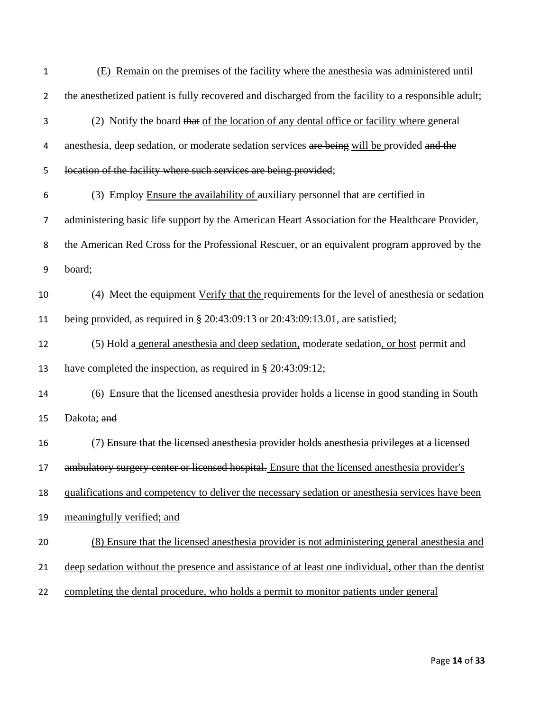| $\mathbf{1}$   | (E) Remain on the premises of the facility where the anesthesia was administered until               |
|----------------|------------------------------------------------------------------------------------------------------|
| $\overline{2}$ | the anesthetized patient is fully recovered and discharged from the facility to a responsible adult; |
| 3              | (2) Notify the board that of the location of any dental office or facility where general             |
| 4              | anesthesia, deep sedation, or moderate sedation services are being will be provided and the          |
| 5              | location of the facility where such services are being provided;                                     |
| 6              | (3) Employ Ensure the availability of auxiliary personnel that are certified in                      |
| 7              | administering basic life support by the American Heart Association for the Healthcare Provider,      |
| 8              | the American Red Cross for the Professional Rescuer, or an equivalent program approved by the        |
| 9              | board;                                                                                               |
| 10             | (4) Meet the equipment Verify that the requirements for the level of anesthesia or sedation          |
| 11             | being provided, as required in $\S 20:43:09:13$ or $20:43:09:13.01$ , are satisfied;                 |
| 12             | (5) Hold a general anesthesia and deep sedation, moderate sedation, or host permit and               |
| 13             | have completed the inspection, as required in $\S 20:43:09:12$ ;                                     |
| 14             | (6) Ensure that the licensed anesthesia provider holds a license in good standing in South           |
| 15             | Dakota; and                                                                                          |
| 16             | (7) Ensure that the licensed anesthesia provider holds anesthesia privileges at a licensed           |
|                | 17 ambulatory surgery center or licensed hospital. Ensure that the licensed anesthesia provider's    |
| 18             | qualifications and competency to deliver the necessary sedation or anesthesia services have been     |
| 19             | meaningfully verified; and                                                                           |
| 20             | (8) Ensure that the licensed anesthesia provider is not administering general anesthesia and         |
| 21             | deep sedation without the presence and assistance of at least one individual, other than the dentist |
| 22             | completing the dental procedure, who holds a permit to monitor patients under general                |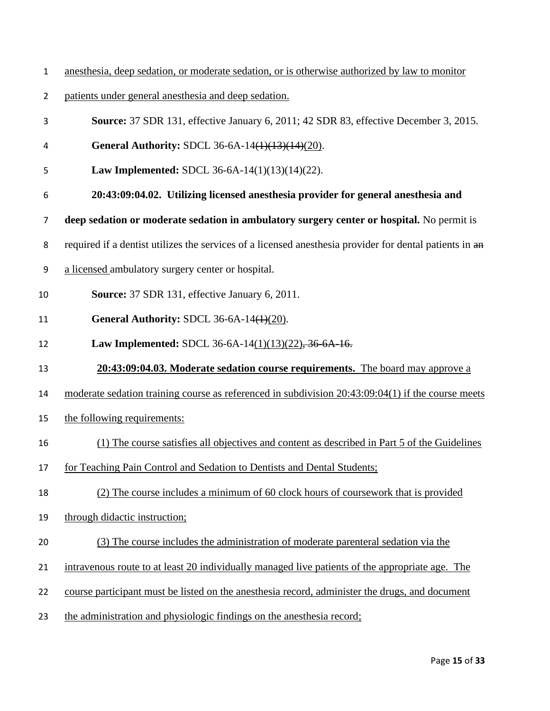- anesthesia, deep sedation, or moderate sedation, or is otherwise authorized by law to monitor
- patients under general anesthesia and deep sedation.
- **Source:** 37 SDR 131, effective January 6, 2011; 42 SDR 83, effective December 3, 2015.
- **General Authority:** SDCL [36-6A-14\(1\)\(13\)\(14\)\(20\).](http://sdlegislature.gov/statutes/DisplayStatute.aspx?Type=Statute&Statute=36-6A-14)
- **Law Implemented:** SDCL [36-6A-14\(1\)\(13\)\(14\)\(22\).](http://sdlegislature.gov/statutes/DisplayStatute.aspx?Type=Statute&Statute=36-6A-14)
- **20:43:09:04.02. Utilizing licensed anesthesia provider for general anesthesia and**
- **deep sedation or moderate sedation in ambulatory surgery center or hospital.** No permit is
- 8 required if a dentist utilizes the services of a licensed anesthesia provider for dental patients in  $\frac{a_n}{b_n}$
- a licensed ambulatory surgery center or hospital.
- **Source:** 37 SDR 131, effective January 6, 2011.
- **General Authority:** SDCL [36-6A-14\(1\)\(20\).](http://sdlegislature.gov/statutes/DisplayStatute.aspx?Type=Statute&Statute=36-6A-14)
- **Law Implemented:** SDCL [36-6A-14\(](http://sdlegislature.gov/statutes/DisplayStatute.aspx?Type=Statute&Statute=36-6A-14)1)(13)(22), [36-6A-16.](http://sdlegislature.gov/statutes/DisplayStatute.aspx?Type=Statute&Statute=36-6A-16)
- **20:43:09:04.03. Moderate sedation course requirements.** The board may approve a
- moderate sedation training course as referenced in subdivision 20:43:09:04(1) if the course meets
- the following requirements:
- (1) The course satisfies all objectives and content as described in Part 5 of the Guidelines
- for Teaching Pain Control and Sedation to Dentists and Dental Students;
- (2) The course includes a minimum of 60 clock hours of coursework that is provided
- through didactic instruction;
- (3) The course includes the administration of moderate parenteral sedation via the
- intravenous route to at least 20 individually managed live patients of the appropriate age. The
- course participant must be listed on the anesthesia record, administer the drugs, and document
- the administration and physiologic findings on the anesthesia record;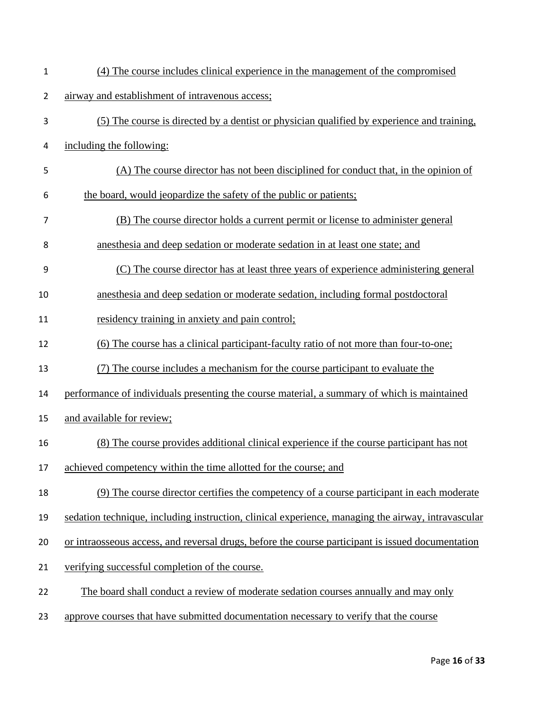| $\mathbf{1}$   | (4) The course includes clinical experience in the management of the compromised                   |
|----------------|----------------------------------------------------------------------------------------------------|
| $\overline{2}$ | airway and establishment of intravenous access;                                                    |
| 3              | (5) The course is directed by a dentist or physician qualified by experience and training,         |
| 4              | including the following:                                                                           |
| 5              | (A) The course director has not been disciplined for conduct that, in the opinion of               |
| 6              | the board, would jeopardize the safety of the public or patients;                                  |
| 7              | (B) The course director holds a current permit or license to administer general                    |
| 8              | anesthesia and deep sedation or moderate sedation in at least one state; and                       |
| 9              | (C) The course director has at least three years of experience administering general               |
| 10             | anesthesia and deep sedation or moderate sedation, including formal postdoctoral                   |
| 11             | <u>residency</u> training in anxiety and pain control;                                             |
| 12             | (6) The course has a clinical participant-faculty ratio of not more than four-to-one;              |
| 13             | (7) The course includes a mechanism for the course participant to evaluate the                     |
| 14             | performance of individuals presenting the course material, a summary of which is maintained        |
| 15             | and available for review;                                                                          |
| 16             | (8) The course provides additional clinical experience if the course participant has not           |
| 17             | achieved competency within the time allotted for the course; and                                   |
| 18             | (9) The course director certifies the competency of a course participant in each moderate          |
| 19             | sedation technique, including instruction, clinical experience, managing the airway, intravascular |
| 20             | or intraosseous access, and reversal drugs, before the course participant is issued documentation  |
| 21             | verifying successful completion of the course.                                                     |
| 22             | The board shall conduct a review of moderate sedation courses annually and may only                |
| 23             | approve courses that have submitted documentation necessary to verify that the course              |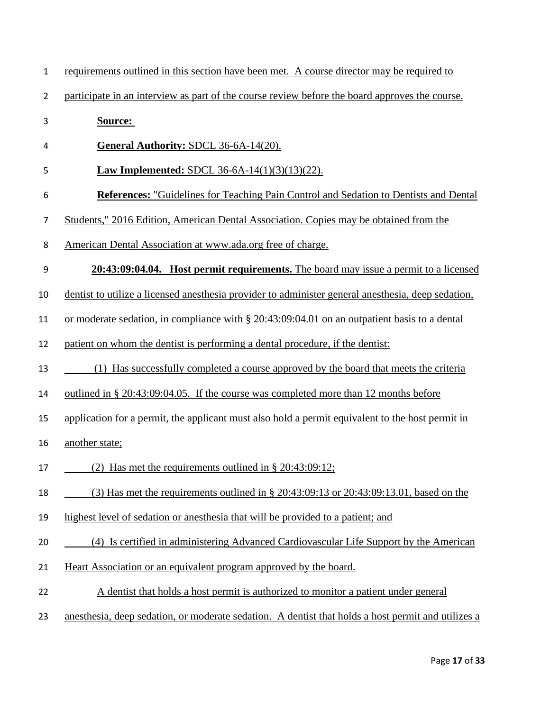| 1  | requirements outlined in this section have been met. A course director may be required to          |
|----|----------------------------------------------------------------------------------------------------|
| 2  | participate in an interview as part of the course review before the board approves the course.     |
| 3  | Source:                                                                                            |
| 4  | General Authority: SDCL 36-6A-14(20).                                                              |
| 5  | <b>Law Implemented: SDCL 36-6A-14(1)(3)(13)(22).</b>                                               |
| 6  | <b>References:</b> "Guidelines for Teaching Pain Control and Sedation to Dentists and Dental       |
| 7  | Students," 2016 Edition, American Dental Association. Copies may be obtained from the              |
| 8  | American Dental Association at www.ada.org free of charge.                                         |
| 9  | 20:43:09:04.04. Host permit requirements. The board may issue a permit to a licensed               |
| 10 | dentist to utilize a licensed anesthesia provider to administer general anesthesia, deep sedation, |
| 11 | or moderate sedation, in compliance with $\S 20:43:09:04.01$ on an outpatient basis to a dental    |
| 12 | patient on whom the dentist is performing a dental procedure, if the dentist:                      |
| 13 | (1) Has successfully completed a course approved by the board that meets the criteria              |
| 14 | outlined in § 20:43:09:04.05. If the course was completed more than 12 months before               |
| 15 | application for a permit, the applicant must also hold a permit equivalent to the host permit in   |
| 16 | another state;                                                                                     |
| 17 | (2) Has met the requirements outlined in $\S 20:43:09:12$ ;                                        |
| 18 | (3) Has met the requirements outlined in $\S 20:43:09:13$ or $20:43:09:13.01$ , based on the       |
| 19 | highest level of sedation or an esthesia that will be provided to a patient; and                   |
| 20 | (4) Is certified in administering Advanced Cardiovascular Life Support by the American             |
| 21 | Heart Association or an equivalent program approved by the board.                                  |
| 22 | A dentist that holds a host permit is authorized to monitor a patient under general                |
| 23 | anesthesia, deep sedation, or moderate sedation. A dentist that holds a host permit and utilizes a |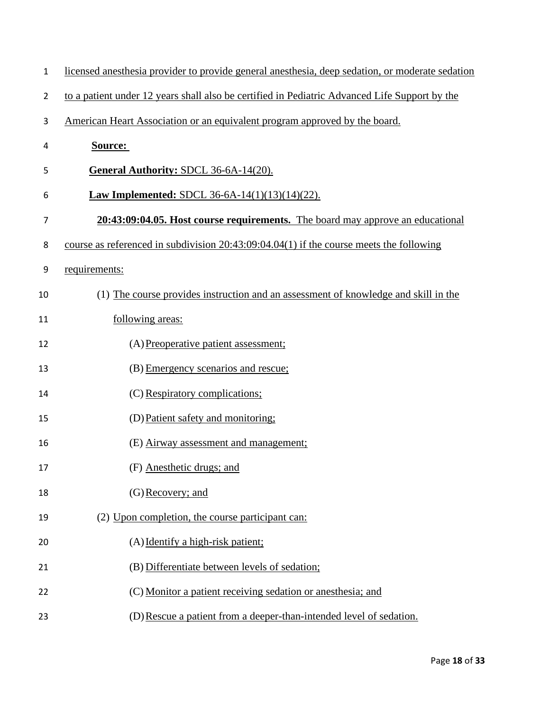| $\mathbf{1}$ | licensed anesthesia provider to provide general anesthesia, deep sedation, or moderate sedation |
|--------------|-------------------------------------------------------------------------------------------------|
| 2            | to a patient under 12 years shall also be certified in Pediatric Advanced Life Support by the   |
| 3            | American Heart Association or an equivalent program approved by the board.                      |
| 4            | Source:                                                                                         |
| 5            | <b>General Authority: SDCL 36-6A-14(20).</b>                                                    |
| 6            | <b>Law Implemented: SDCL 36-6A-14(1)(13)(14)(22).</b>                                           |
| 7            | 20:43:09:04.05. Host course requirements. The board may approve an educational                  |
| 8            | course as referenced in subdivision $20:43:09:04.04(1)$ if the course meets the following       |
| 9            | requirements:                                                                                   |
| 10           | (1) The course provides instruction and an assessment of knowledge and skill in the             |
| 11           | following areas:                                                                                |
| 12           | (A) Preoperative patient assessment;                                                            |
| 13           | (B) Emergency scenarios and rescue;                                                             |
| 14           | (C) Respiratory complications;                                                                  |
| 15           | (D) Patient safety and monitoring;                                                              |
| 16           | (E) Airway assessment and management;                                                           |
| 17           | (F) Anesthetic drugs; and                                                                       |
| 18           | (G) Recovery; and                                                                               |
| 19           | (2) Upon completion, the course participant can:                                                |
| 20           | (A) Identify a high-risk patient;                                                               |
| 21           | (B) Differentiate between levels of sedation;                                                   |
| 22           | (C) Monitor a patient receiving sedation or anesthesia; and                                     |
| 23           | (D) Rescue a patient from a deeper-than-intended level of sedation.                             |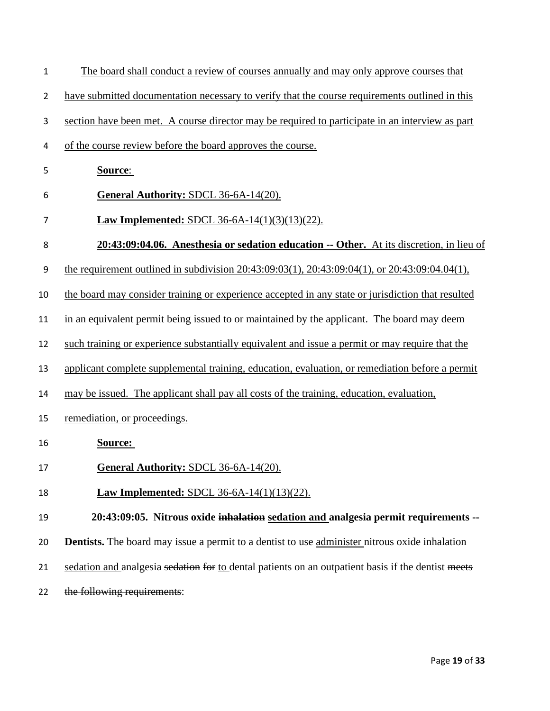| $\mathbf{1}$   | The board shall conduct a review of courses annually and may only approve courses that                 |
|----------------|--------------------------------------------------------------------------------------------------------|
| $\overline{2}$ | have submitted documentation necessary to verify that the course requirements outlined in this         |
| 3              | section have been met. A course director may be required to participate in an interview as part        |
| 4              | of the course review before the board approves the course.                                             |
| 5              | <b>Source:</b>                                                                                         |
| 6              | General Authority: SDCL 36-6A-14(20).                                                                  |
| 7              | Law Implemented: SDCL 36-6A-14(1)(3)(13)(22).                                                          |
| 8              | 20:43:09:04.06. Anesthesia or sedation education -- Other. At its discretion, in lieu of               |
| 9              | the requirement outlined in subdivision $20:43:09:03(1)$ , $20:43:09:04(1)$ , or $20:43:09:04.04(1)$ , |
| 10             | the board may consider training or experience accepted in any state or jurisdiction that resulted      |
| 11             | in an equivalent permit being issued to or maintained by the applicant. The board may deem             |
| 12             | such training or experience substantially equivalent and issue a permit or may require that the        |
| 13             | applicant complete supplemental training, education, evaluation, or remediation before a permit        |
| 14             | may be issued. The applicant shall pay all costs of the training, education, evaluation,               |
| 15             | remediation, or proceedings.                                                                           |
| 16             | <b>Source:</b>                                                                                         |
| 17             | <b>General Authority: SDCL 36-6A-14(20).</b>                                                           |
| 18             | <b>Law Implemented: SDCL 36-6A-14(1)(13)(22).</b>                                                      |
| 19             | 20:43:09:05. Nitrous oxide inhalation sedation and analgesia permit requirements --                    |
| 20             | <b>Dentists.</b> The board may issue a permit to a dentist to use administer nitrous oxide inhalation  |
| 21             | sedation and analgesia sedation for to dental patients on an outpatient basis if the dentist meets     |
| 22             | the following requirements:                                                                            |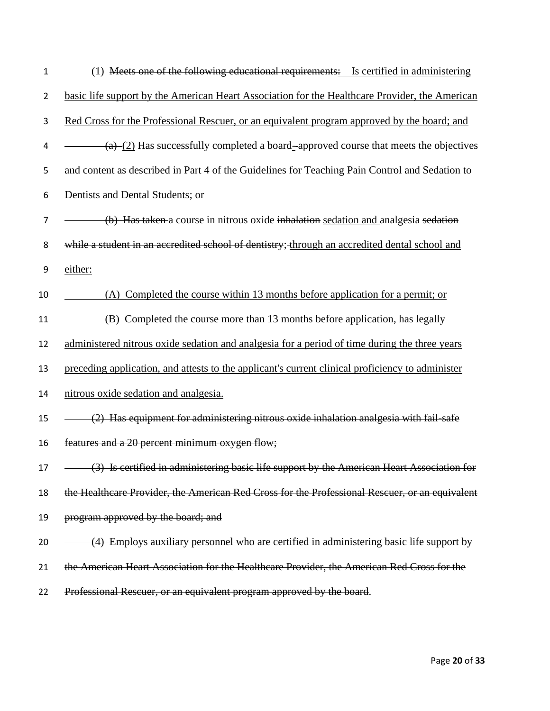| $\mathbf{1}$   | (1) Meets one of the following educational requirements: Is certified in administering           |
|----------------|--------------------------------------------------------------------------------------------------|
| $\overline{2}$ | basic life support by the American Heart Association for the Healthcare Provider, the American   |
| 3              | Red Cross for the Professional Rescuer, or an equivalent program approved by the board; and      |
| 4              | (a) (2) Has successfully completed a board-approved course that meets the objectives             |
| 5              | and content as described in Part 4 of the Guidelines for Teaching Pain Control and Sedation to   |
| 6              | Dentists and Dental Students; or                                                                 |
| $\overline{7}$ | (b) Has taken a course in nitrous oxide inhalation sedation and analgesia sedation               |
| 8              | while a student in an accredited school of dentistry; through an accredited dental school and    |
| 9              | either:                                                                                          |
| 10             | (A) Completed the course within 13 months before application for a permit; or                    |
| 11             | (B) Completed the course more than 13 months before application, has legally                     |
| 12             | administered nitrous oxide sedation and analgesia for a period of time during the three years    |
| 13             | preceding application, and attests to the applicant's current clinical proficiency to administer |
| 14             | nitrous oxide sedation and analgesia.                                                            |
| 15             | $\frac{1}{2}$ Has equipment for administering nitrous oxide inhalation analgesia with fail-safe  |
| 16             | features and a 20 percent minimum oxygen flow;                                                   |
| 17             | (3) Is certified in administering basic life support by the American Heart Association for       |
| 18             | the Healthcare Provider, the American Red Cross for the Professional Rescuer, or an equivalent   |
| 19             | program approved by the board; and                                                               |
| 20             | (4) Employs auxiliary personnel who are certified in administering basic life support by         |
| 21             | the American Heart Association for the Healthcare Provider, the American Red Cross for the       |
| 22             | Professional Rescuer, or an equivalent program approved by the board.                            |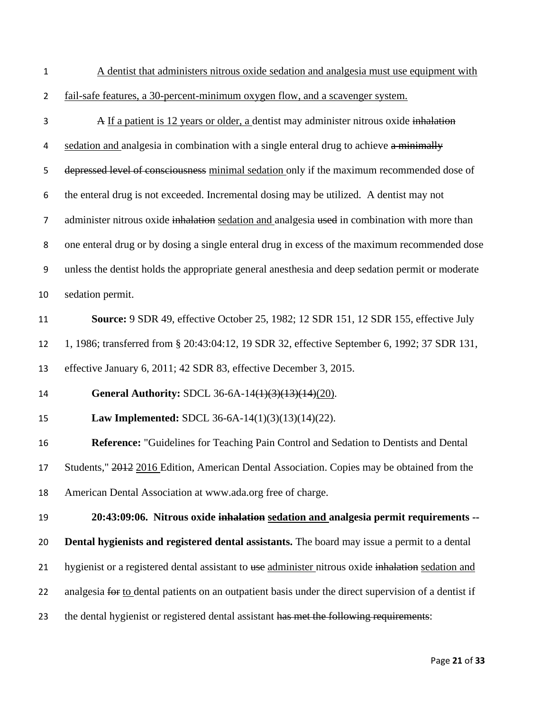1 A dentist that administers nitrous oxide sedation and analgesia must use equipment with

2 fail-safe features, a 30-percent-minimum oxygen flow, and a scavenger system.

3 A If a patient is 12 years or older, a dentist may administer nitrous oxide inhalation 4 sedation and analgesia in combination with a single enteral drug to achieve a minimally 5 depressed level of consciousness minimal sedation only if the maximum recommended dose of the enteral drug is not exceeded. Incremental dosing may be utilized. A dentist may not 7 administer nitrous oxide inhalation sedation and analgesia used in combination with more than one enteral drug or by dosing a single enteral drug in excess of the maximum recommended dose unless the dentist holds the appropriate general anesthesia and deep sedation permit or moderate sedation permit. **Source:** 9 SDR 49, effective October 25, 1982; 12 SDR 151, 12 SDR 155, effective July 1, 1986; transferred from § 20:43:04:12, 19 SDR 32, effective September 6, 1992; 37 SDR 131, effective January 6, 2011; 42 SDR 83, effective December 3, 2015. **General Authority:** SDCL [36-6A-14\(1\)\(3\)\(13\)\(14\)\(20\).](http://sdlegislature.gov/statutes/DisplayStatute.aspx?Type=Statute&Statute=36-6A-14) **Law Implemented:** SDCL [36-6A-14\(1\)\(3\)\(13\)\(14\)\(22\).](http://sdlegislature.gov/statutes/DisplayStatute.aspx?Type=Statute&Statute=36-6A-14) **Reference:** "Guidelines for Teaching Pain Control and Sedation to Dentists and Dental 17 Students," 2012 2016 Edition, American Dental Association. Copies may be obtained from the American Dental Association at [www.ada.org](http://www.ada.org/) free of charge. **20:43:09:06. Nitrous oxide inhalation sedation and analgesia permit requirements -- Dental hygienists and registered dental assistants.** The board may issue a permit to a dental 21 hygienist or a registered dental assistant to use administer nitrous oxide inhalation sedation and 22 analgesia for to dental patients on an outpatient basis under the direct supervision of a dentist if 23 the dental hygienist or registered dental assistant has met the following requirements: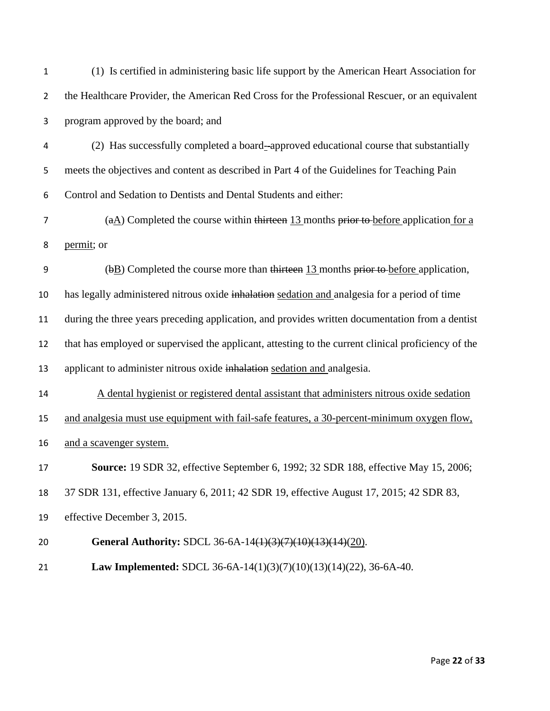| $\mathbf{1}$   | (1) Is certified in administering basic life support by the American Heart Association for          |
|----------------|-----------------------------------------------------------------------------------------------------|
| $\overline{2}$ | the Healthcare Provider, the American Red Cross for the Professional Rescuer, or an equivalent      |
| 3              | program approved by the board; and                                                                  |
| 4              | (2) Has successfully completed a board--approved educational course that substantially              |
| 5              | meets the objectives and content as described in Part 4 of the Guidelines for Teaching Pain         |
| 6              | Control and Sedation to Dentists and Dental Students and either:                                    |
| $\overline{7}$ | $(aA)$ Completed the course within thirteen 13 months prior to before application for a             |
| 8              | permit; or                                                                                          |
| 9              | $(\frac{b}{b})$ Completed the course more than thirteen 13 months prior to before application,      |
| 10             | has legally administered nitrous oxide inhalation sedation and analgesia for a period of time       |
| 11             | during the three years preceding application, and provides written documentation from a dentist     |
| 12             | that has employed or supervised the applicant, attesting to the current clinical proficiency of the |
| 13             | applicant to administer nitrous oxide inhalation sedation and analgesia.                            |
| 14             | A dental hygienist or registered dental assistant that administers nitrous oxide sedation           |
| 15             | and analgesia must use equipment with fail-safe features, a 30-percent-minimum oxygen flow,         |
| 16             | and a scavenger system.                                                                             |
| 17             | <b>Source:</b> 19 SDR 32, effective September 6, 1992; 32 SDR 188, effective May 15, 2006;          |
| 18             | 37 SDR 131, effective January 6, 2011; 42 SDR 19, effective August 17, 2015; 42 SDR 83,             |
| 19             | effective December 3, 2015.                                                                         |
| 20             | General Authority: SDCL 36-6A-14 <del>(1)(3)(7)(10)(13)(14)</del> (20).                             |
| 21             | Law Implemented: SDCL 36-6A-14(1)(3)(7)(10)(13)(14)(22), 36-6A-40.                                  |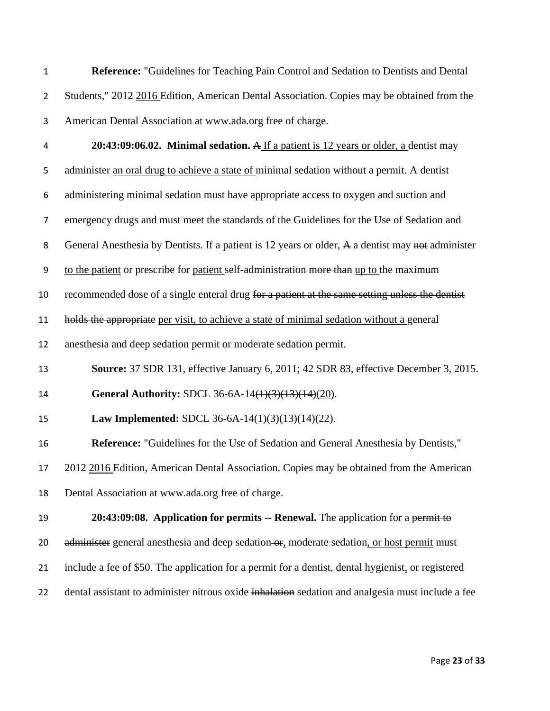| $\mathbf{1}$ | <b>Reference:</b> "Guidelines for Teaching Pain Control and Sedation to Dentists and Dental |
|--------------|---------------------------------------------------------------------------------------------|
|              | Students," 2012 2016 Edition, American Dental Association. Copies may be obtained from the  |
|              | American Dental Association at www.ada.org free of charge.                                  |

**20:43:09:06.02. Minimal sedation.** A If a patient is 12 years or older, a dentist may

administer an oral drug to achieve a state of minimal sedation without a permit. A dentist

administering minimal sedation must have appropriate access to oxygen and suction and

emergency drugs and must meet the standards of the Guidelines for the Use of Sedation and

8 General Anesthesia by Dentists. If a patient is 12 years or older, A a dentist may not administer

9 to the patient or prescribe for patient self-administration more than up to the maximum

10 recommended dose of a single enteral drug for a patient at the same setting unless the dentist

holds the appropriate per visit, to achieve a state of minimal sedation without a general

anesthesia and deep sedation permit or moderate sedation permit.

**Source:** 37 SDR 131, effective January 6, 2011; 42 SDR 83, effective December 3, 2015.

**General Authority:** SDCL [36-6A-14\(1\)\(3\)\(13\)\(14\)\(20\).](http://sdlegislature.gov/statutes/DisplayStatute.aspx?Type=Statute&Statute=36-6A-14)

**Law Implemented:** SDCL [36-6A-14\(1\)\(3\)\(13\)\(14\)\(22\).](http://sdlegislature.gov/statutes/DisplayStatute.aspx?Type=Statute&Statute=36-6A-14)

**Reference:** "Guidelines for the Use of Sedation and General Anesthesia by Dentists,"

2012 2016 Edition, American Dental Association. Copies may be obtained from the American

Dental Association at [www.ada.org](http://www.ada.org/) free of charge.

 **20:43:09:08. Application for permits -- Renewal.** The application for a permit to 20 administer general anesthesia and deep sedation or, moderate sedation, or host permit must

- include a fee of \$50. The application for a permit for a dentist, dental hygienist, or registered
- 22 dental assistant to administer nitrous oxide inhalation sedation and analgesia must include a fee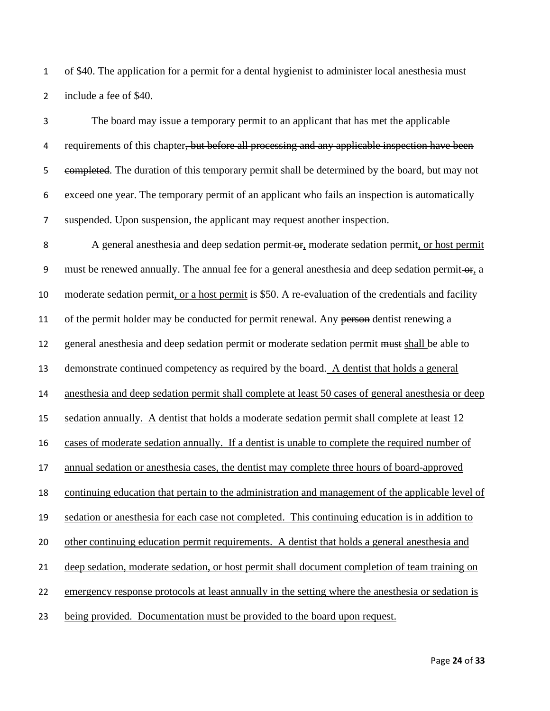of \$40. The application for a permit for a dental hygienist to administer local anesthesia must include a fee of \$40.

 The board may issue a temporary permit to an applicant that has met the applicable 4 requirements of this chapter, but before all processing and any applicable inspection have been 5 e<del>ompleted</del>. The duration of this temporary permit shall be determined by the board, but may not exceed one year. The temporary permit of an applicant who fails an inspection is automatically suspended. Upon suspension, the applicant may request another inspection.

8 A general anesthesia and deep sedation permit-or, moderate sedation permit, or host permit 9 must be renewed annually. The annual fee for a general anesthesia and deep sedation permit-or, a moderate sedation permit, or a host permit is \$50. A re-evaluation of the credentials and facility 11 of the permit holder may be conducted for permit renewal. Any person dentist renewing a general anesthesia and deep sedation permit or moderate sedation permit must shall be able to demonstrate continued competency as required by the board. A dentist that holds a general anesthesia and deep sedation permit shall complete at least 50 cases of general anesthesia or deep sedation annually. A dentist that holds a moderate sedation permit shall complete at least 12 cases of moderate sedation annually. If a dentist is unable to complete the required number of annual sedation or anesthesia cases, the dentist may complete three hours of board-approved continuing education that pertain to the administration and management of the applicable level of sedation or anesthesia for each case not completed. This continuing education is in addition to other continuing education permit requirements. A dentist that holds a general anesthesia and deep sedation, moderate sedation, or host permit shall document completion of team training on emergency response protocols at least annually in the setting where the anesthesia or sedation is being provided. Documentation must be provided to the board upon request.

Page **24** of **33**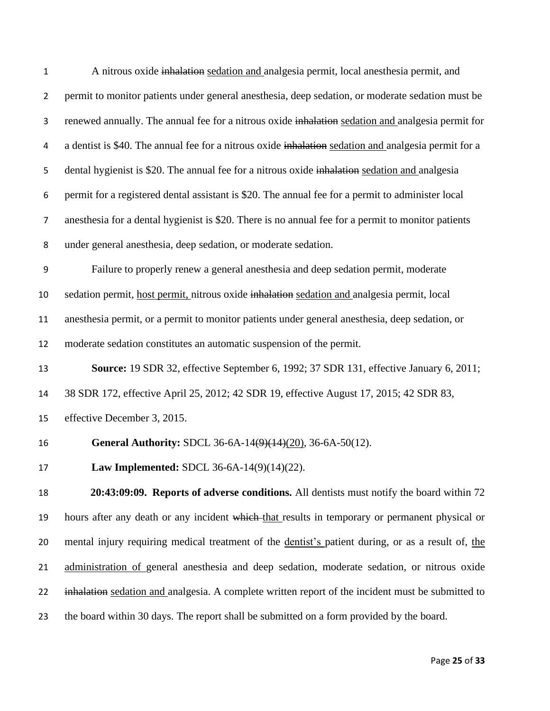| $\mathbf{1}$   | A nitrous oxide inhalation sedation and analgesia permit, local anesthesia permit, and               |
|----------------|------------------------------------------------------------------------------------------------------|
| $\overline{2}$ | permit to monitor patients under general anesthesia, deep sedation, or moderate sedation must be     |
| 3              | renewed annually. The annual fee for a nitrous oxide inhalation sedation and analgesia permit for    |
| 4              | a dentist is \$40. The annual fee for a nitrous oxide inhalation sedation and analgesia permit for a |
| 5              | dental hygienist is \$20. The annual fee for a nitrous oxide inhalation sedation and analgesia       |
| 6              | permit for a registered dental assistant is \$20. The annual fee for a permit to administer local    |
| 7              | anesthesia for a dental hygienist is \$20. There is no annual fee for a permit to monitor patients   |
| 8              | under general anesthesia, deep sedation, or moderate sedation.                                       |
| 9              | Failure to properly renew a general anesthesia and deep sedation permit, moderate                    |
| 10             | sedation permit, host permit, nitrous oxide inhalation sedation and analgesia permit, local          |
| 11             | anesthesia permit, or a permit to monitor patients under general anesthesia, deep sedation, or       |
| 12             | moderate sedation constitutes an automatic suspension of the permit.                                 |
| 13             | Source: 19 SDR 32, effective September 6, 1992; 37 SDR 131, effective January 6, 2011;               |
| 14             | 38 SDR 172, effective April 25, 2012; 42 SDR 19, effective August 17, 2015; 42 SDR 83,               |
| 15             | effective December 3, 2015.                                                                          |
| 16             | General Authority: SDCL 36-6A-14 $(9)(14)(20)$ , 36-6A-50(12).                                       |
| 17             | Law Implemented: SDCL 36-6A-14(9)(14)(22).                                                           |
| 18             | 20:43:09:09. Reports of adverse conditions. All dentists must notify the board within 72             |
| 19             | hours after any death or any incident which that results in temporary or permanent physical or       |
| 20             | mental injury requiring medical treatment of the dentist's patient during, or as a result of, the    |
| 21             | administration of general anesthesia and deep sedation, moderate sedation, or nitrous oxide          |
| 22             | inhalation sedation and analgesia. A complete written report of the incident must be submitted to    |
| 23             | the board within 30 days. The report shall be submitted on a form provided by the board.             |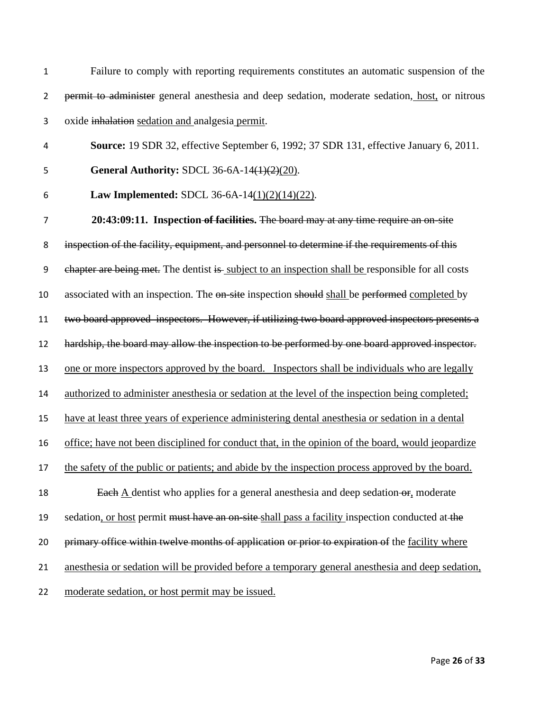Failure to comply with reporting requirements constitutes an automatic suspension of the permit to administer general anesthesia and deep sedation, moderate sedation, host, or nitrous oxide inhalation sedation and analgesia permit.

- **Source:** 19 SDR 32, effective September 6, 1992; 37 SDR 131, effective January 6, 2011.
- 

**General Authority:** SDCL [36-6A-14\(1\)\(2\)\(20\).](https://sdlegislature.gov/statutes/DisplayStatute.aspx?Type=Statute&Statute=36-6A-14)

**Law Implemented:** SDCL [36-6A-14\(1\)\(2\)\(14\)\(22\).](https://sdlegislature.gov/statutes/DisplayStatute.aspx?Type=Statute&Statute=36-6A-14)

 **20:43:09:11. Inspection of facilities.** The board may at any time require an on-site inspection of the facility, equipment, and personnel to determine if the requirements of this 9 chapter are being met. The dentist is subject to an inspection shall be responsible for all costs 10 associated with an inspection. The on-site inspection should shall be performed completed by two board approved inspectors. However, if utilizing two board approved inspectors presents a hardship, the board may allow the inspection to be performed by one board approved inspector. one or more inspectors approved by the board. Inspectors shall be individuals who are legally authorized to administer anesthesia or sedation at the level of the inspection being completed; have at least three years of experience administering dental anesthesia or sedation in a dental office; have not been disciplined for conduct that, in the opinion of the board, would jeopardize 17 the safety of the public or patients; and abide by the inspection process approved by the board. 18 Each A dentist who applies for a general anesthesia and deep sedation-or, moderate 19 sedation, or host permit must have an on-site shall pass a facility inspection conducted at the 20 primary office within twelve months of application or prior to expiration of the facility where anesthesia or sedation will be provided before a temporary general anesthesia and deep sedation, moderate sedation, or host permit may be issued.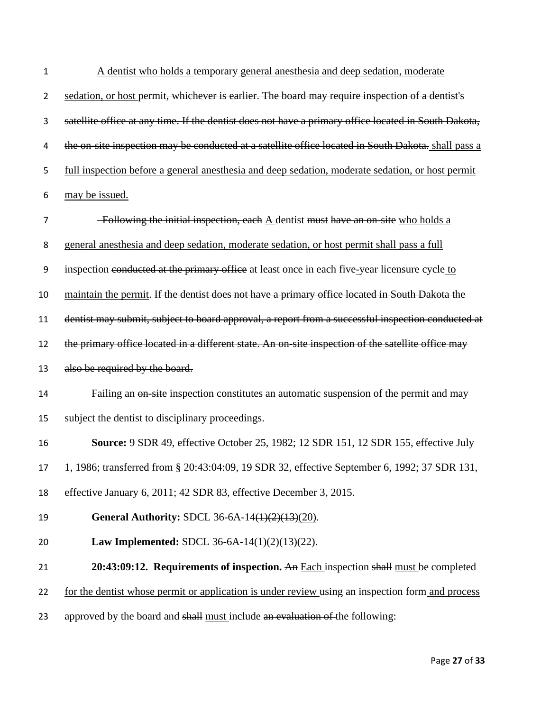| $\mathbf{1}$   | A dentist who holds a temporary general anesthesia and deep sedation, moderate                       |
|----------------|------------------------------------------------------------------------------------------------------|
| $\overline{2}$ | sedation, or host permit, whichever is earlier. The board may require inspection of a dentist's      |
| 3              | satellite office at any time. If the dentist does not have a primary office located in South Dakota, |
| 4              | the on-site inspection may be conducted at a satellite office located in South Dakota. shall pass a  |
| 5              | full inspection before a general anesthesia and deep sedation, moderate sedation, or host permit     |
| 6              | may be issued.                                                                                       |
| 7              | -Following the initial inspection, each $\underline{A}$ dentist must have an on-site who holds a     |
| 8              | general anesthesia and deep sedation, moderate sedation, or host permit shall pass a full            |
| 9              | inspection conducted at the primary office at least once in each five-year licensure cycle to        |
| 10             | maintain the permit. If the dentist does not have a primary office located in South Dakota the       |
| 11             | dentist may submit, subject to board approval, a report from a successful inspection conducted at    |
| 12             | the primary office located in a different state. An on-site inspection of the satellite office may   |
| 13             | also be required by the board.                                                                       |
| 14             | Failing an <del>on-site</del> inspection constitutes an automatic suspension of the permit and may   |
| 15             | subject the dentist to disciplinary proceedings.                                                     |
| 16             | <b>Source:</b> 9 SDR 49, effective October 25, 1982; 12 SDR 151, 12 SDR 155, effective July          |
| 17             | 1, 1986; transferred from § 20:43:04:09, 19 SDR 32, effective September 6, 1992; 37 SDR 131,         |
| 18             | effective January 6, 2011; 42 SDR 83, effective December 3, 2015.                                    |
| 19             | <b>General Authority:</b> SDCL 36-6A-14(1)(2)(13)(20).                                               |
| 20             | <b>Law Implemented:</b> SDCL 36-6A-14 $(1)(2)(13)(22)$ .                                             |
|                |                                                                                                      |
| 21             | 20:43:09:12. Requirements of inspection. An Each inspection shall must be completed                  |
| 22             | for the dentist whose permit or application is under review using an inspection form and process     |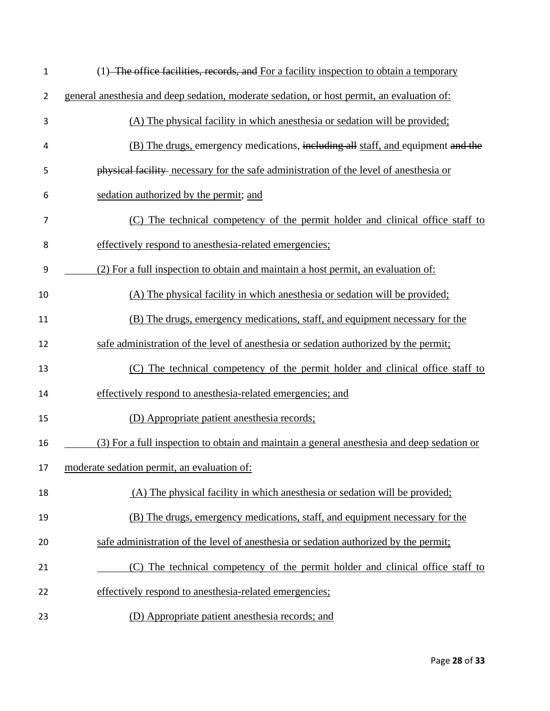| $\mathbf 1$    | (1) The office facilities, records, and For a facility inspection to obtain a temporary    |
|----------------|--------------------------------------------------------------------------------------------|
| $\overline{2}$ | general anesthesia and deep sedation, moderate sedation, or host permit, an evaluation of: |
| 3              | (A) The physical facility in which anesthesia or sedation will be provided;                |
| 4              | (B) The drugs, emergency medications, including all staff, and equipment and the           |
| 5              | physical facility necessary for the safe administration of the level of anesthesia or      |
| 6              | sedation authorized by the permit; and                                                     |
| 7              | (C) The technical competency of the permit holder and clinical office staff to             |
| 8              | effectively respond to anesthesia-related emergencies;                                     |
| 9              | (2) For a full inspection to obtain and maintain a host permit, an evaluation of:          |
| 10             | (A) The physical facility in which anesthesia or sedation will be provided;                |
| 11             | (B) The drugs, emergency medications, staff, and equipment necessary for the               |
| 12             | safe administration of the level of anesthesia or sedation authorized by the permit;       |
| 13             | (C) The technical competency of the permit holder and clinical office staff to             |
| 14             | effectively respond to anesthesia-related emergencies; and                                 |
| 15             | (D) Appropriate patient anesthesia records;                                                |
| 16             | (3) For a full inspection to obtain and maintain a general anesthesia and deep sedation or |
| 17             | moderate sedation permit, an evaluation of:                                                |
| 18             | (A) The physical facility in which anesthesia or sedation will be provided;                |
| 19             | (B) The drugs, emergency medications, staff, and equipment necessary for the               |
| 20             | safe administration of the level of anesthesia or sedation authorized by the permit;       |
| 21             | (C) The technical competency of the permit holder and clinical office staff to             |
| 22             | effectively respond to anesthesia-related emergencies;                                     |
| 23             | (D) Appropriate patient anesthesia records; and                                            |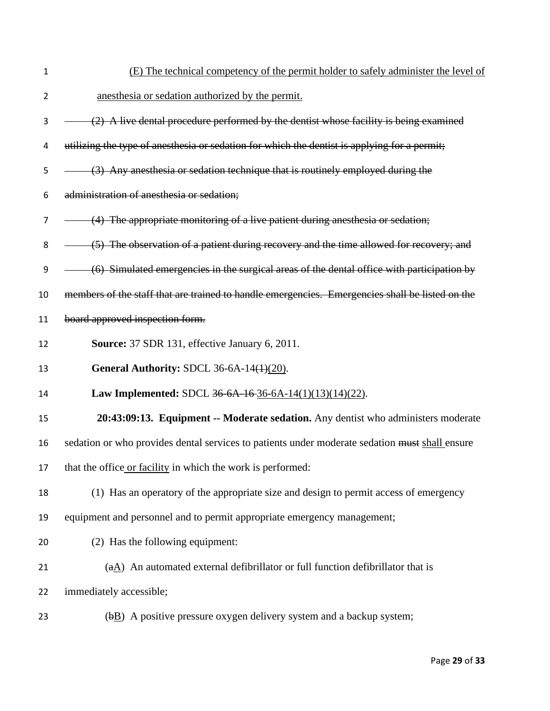- 1 (E) The technical competency of the permit holder to safely administer the level of 2 anesthesia or sedation authorized by the permit.  $3 \left(2\right)$  A live dental procedure performed by the dentist whose facility is being examined
- 4 utilizing the type of anesthesia or sedation for which the dentist is applying for a permit;
- 5 (3) Any anesthesia or sedation technique that is routinely employed during the
- 6 administration of anesthesia or sedation;
- 7 (4) The appropriate monitoring of a live patient during anesthesia or sedation;
- 8 (5) The observation of a patient during recovery and the time allowed for recovery; and
- 9 (6) Simulated emergencies in the surgical areas of the dental office with participation by
- 10 members of the staff that are trained to handle emergencies. Emergencies shall be listed on the
- 11 board approved inspection form.
- 12 **Source:** 37 SDR 131, effective January 6, 2011.
- 13 **General Authority:** SDCL [36-6A-14\(1\)\(20\).](http://sdlegislature.gov/statutes/DisplayStatute.aspx?Type=Statute&Statute=36-6A-14)
- 14 **Law Implemented:** SDCL 36-6A-16 [36-6A-14\(1\)\(13\)\(14\)\(22\).](http://sdlegislature.gov/statutes/DisplayStatute.aspx?Type=Statute&Statute=36-6A-16)
- 15 **20:43:09:13. Equipment -- Moderate sedation.** Any dentist who administers moderate
- 16 sedation or who provides dental services to patients under moderate sedation must shall ensure
- 17 that the office or facility in which the work is performed:
- 18 (1) Has an operatory of the appropriate size and design to permit access of emergency
- 19 equipment and personnel and to permit appropriate emergency management;
- 20 (2) Has the following equipment:
- 21 ( $aA$ ) An automated external defibrillator or full function defibrillator that is
- 22 immediately accessible;
- 23 ( $\theta$ B) A positive pressure oxygen delivery system and a backup system;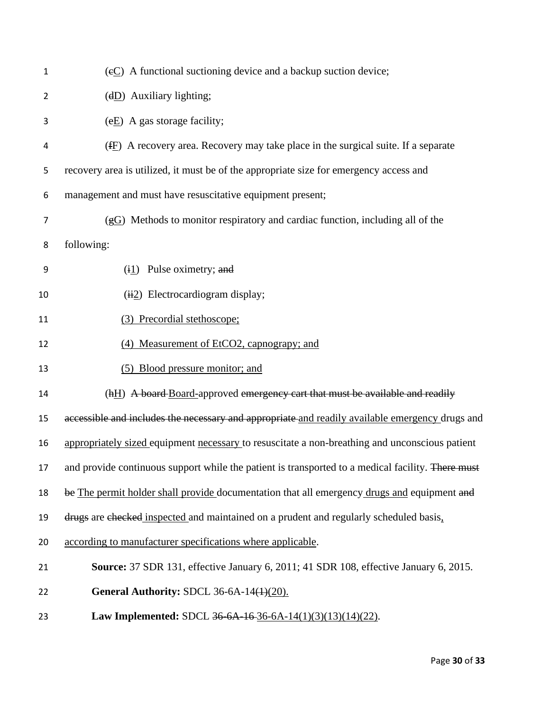| $\mathbf{1}$   | $(\epsilon C)$ A functional suctioning device and a backup suction device;                        |
|----------------|---------------------------------------------------------------------------------------------------|
| $\overline{2}$ | $(dD)$ Auxiliary lighting;                                                                        |
| 3              | $(eE)$ A gas storage facility;                                                                    |
| 4              | $(E)$ A recovery area. Recovery may take place in the surgical suite. If a separate               |
| 5              | recovery area is utilized, it must be of the appropriate size for emergency access and            |
| 6              | management and must have resuscitative equipment present;                                         |
| 7              | $(gG)$ Methods to monitor respiratory and cardiac function, including all of the                  |
| 8              | following:                                                                                        |
| 9              | $(i1)$ Pulse oximetry; and                                                                        |
| 10             | $(i2)$ Electrocardiogram display;                                                                 |
| 11             | (3) Precordial stethoscope;                                                                       |
| 12             | (4) Measurement of EtCO2, capnograpy; and                                                         |
| 13             | (5) Blood pressure monitor; and                                                                   |
| 14             | (hH) A board-Board-approved emergency cart that must be available and readily                     |
| 15             | accessible and includes the necessary and appropriate and readily available emergency drugs and   |
| 16             | appropriately sized equipment necessary to resuscitate a non-breathing and unconscious patient    |
| 17             | and provide continuous support while the patient is transported to a medical facility. There must |
| 18             | be The permit holder shall provide documentation that all emergency drugs and equipment and       |
| 19             | drugs are checked inspected and maintained on a prudent and regularly scheduled basis,            |
| 20             | according to manufacturer specifications where applicable.                                        |
| 21             | <b>Source:</b> 37 SDR 131, effective January 6, 2011; 41 SDR 108, effective January 6, 2015.      |
| 22             | <b>General Authority: SDCL 36-6A-14(1)(20).</b>                                                   |
| 23             | <b>Law Implemented:</b> SDCL $36-6A-16-36-6A-14(1)(3)(13)(14)(22)$ .                              |
|                |                                                                                                   |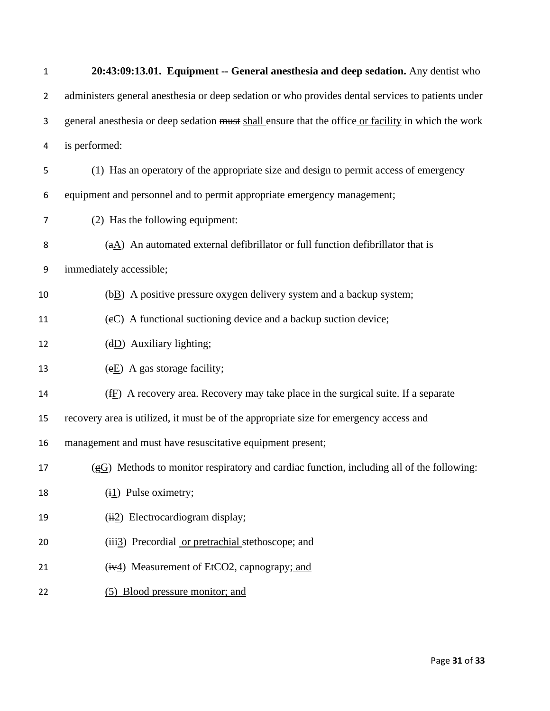| 1              | 20:43:09:13.01. Equipment -- General anesthesia and deep sedation. Any dentist who                  |
|----------------|-----------------------------------------------------------------------------------------------------|
| $\overline{2}$ | administers general anesthesia or deep sedation or who provides dental services to patients under   |
| 3              | general anesthesia or deep sedation must shall ensure that the office or facility in which the work |
| 4              | is performed:                                                                                       |
| 5              | (1) Has an operatory of the appropriate size and design to permit access of emergency               |
| 6              | equipment and personnel and to permit appropriate emergency management;                             |
| 7              | (2) Has the following equipment:                                                                    |
| 8              | $(aA)$ An automated external defibrillator or full function defibrillator that is                   |
| 9              | immediately accessible;                                                                             |
| 10             | (bB) A positive pressure oxygen delivery system and a backup system;                                |
| 11             | $(e_1 e_2)$ A functional suctioning device and a backup suction device;                             |
| 12             | $(dD)$ Auxiliary lighting;                                                                          |
| 13             | $(eE)$ A gas storage facility;                                                                      |
| 14             | $(fE)$ A recovery area. Recovery may take place in the surgical suite. If a separate                |
| 15             | recovery area is utilized, it must be of the appropriate size for emergency access and              |
| 16             | management and must have resuscitative equipment present;                                           |
| 17             | $(gG)$ Methods to monitor respiratory and cardiac function, including all of the following:         |
| 18             | $(i1)$ Pulse oximetry;                                                                              |
| 19             | $(i2)$ Electrocardiogram display;                                                                   |
| 20             | (iii3) Precordial <u>or pretrachial</u> stethoscope; and                                            |
| 21             | (iv4) Measurement of EtCO2, capnograpy; and                                                         |
| 22             | (5) Blood pressure monitor; and                                                                     |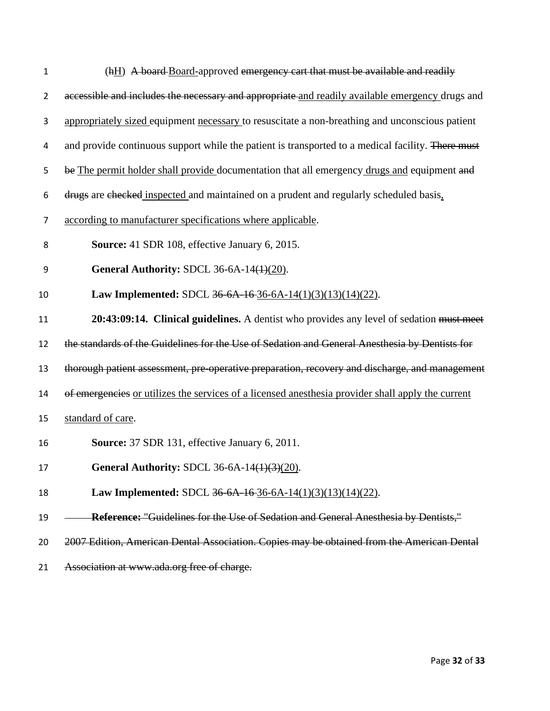| 1              | (hH) A board-Board-approved emergency cart that must be available and readily                     |
|----------------|---------------------------------------------------------------------------------------------------|
| $\overline{2}$ | accessible and includes the necessary and appropriate and readily available emergency drugs and   |
| 3              | appropriately sized equipment necessary to resuscitate a non-breathing and unconscious patient    |
| 4              | and provide continuous support while the patient is transported to a medical facility. There must |
| 5              | be The permit holder shall provide documentation that all emergency drugs and equipment and       |
| 6              | drugs are checked inspected and maintained on a prudent and regularly scheduled basis,            |
| 7              | according to manufacturer specifications where applicable.                                        |
| 8              | Source: 41 SDR 108, effective January 6, 2015.                                                    |
| 9              | General Authority: SDCL 36-6A-14 $(4)(20)$ .                                                      |
| 10             | Law Implemented: SDCL 36-6A-16-36-6A-14(1)(3)(13)(14)(22).                                        |
| 11             | 20:43:09:14. Clinical guidelines. A dentist who provides any level of sedation must meet          |
| 12             | the standards of the Guidelines for the Use of Sedation and General Anesthesia by Dentists for    |
| 13             | thorough patient assessment, pre-operative preparation, recovery and discharge, and management    |
| 14             | of emergencies or utilizes the services of a licensed anesthesia provider shall apply the current |
| 15             | standard of care.                                                                                 |
| 16             | Source: 37 SDR 131, effective January 6, 2011.                                                    |
| 17             | General Authority: SDCL 36-6A-14(1)(3)(20).                                                       |
| 18             | Law Implemented: SDCL 36-6A-16-36-6A-14(1)(3)(13)(14)(22).                                        |
| 19             | <b>Reference:</b> "Guidelines for the Use of Sedation and General Anesthesia by Dentists,"        |
| 20             | 2007 Edition, American Dental Association. Copies may be obtained from the American Dental        |
| 21             | Association at www.ada.org free of charge.                                                        |